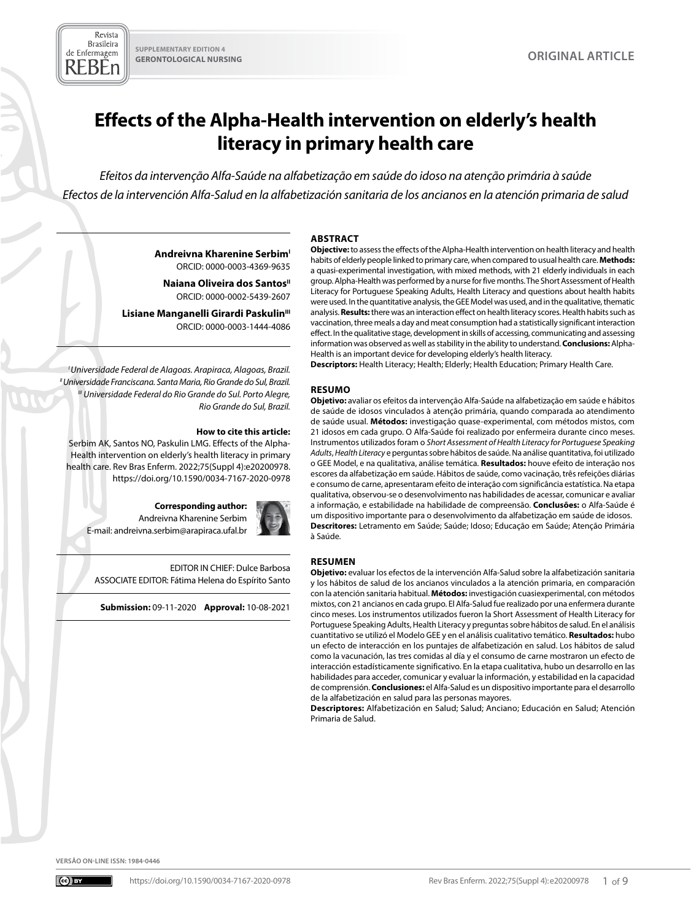Revista **Brasileira** de Enfermagem REBEn

# **Effects of the Alpha-Health intervention on elderly's health literacy in primary health care**

*Efeitos da intervenção Alfa-Saúde na alfabetização em saúde do idoso na atenção primária à saúde Efectos de la intervención Alfa-Salud en la alfabetización sanitaria de los ancianos en la atención primaria de salud*

**Andreivna Kharenine Serbim<sup>1</sup>** ORCID: 0000-0003-4369-9635

**Naiana Oliveira dos Santos**" ORCID: 0000-0002-5439-2607

Lisiane Manganelli Girardi Paskulin<sup>III</sup> ORCID: 0000-0003-1444-4086

*I Universidade Federal de Alagoas. Arapiraca, Alagoas, Brazil. II Universidade Franciscana. Santa Maria, Rio Grande do Sul, Brazil. III Universidade Federal do Rio Grande do Sul. Porto Alegre, Rio Grande do Sul, Brazil.*

#### **How to cite this article:**

Serbim AK, Santos NO, Paskulin LMG. Effects of the Alpha-Health intervention on elderly's health literacy in primary health care. Rev Bras Enferm. 2022;75(Suppl 4):e20200978. [https://doi.org/10.1590/0034-7167-2020-0978](https://doi.org/10.1590/0034-7167-2020-0978%20)

#### **Corresponding author:**

Andreivna Kharenine Serbim E-mail: andreivna.serbim@arapiraca.ufal.br

EDITOR IN CHIEF: Dulce Barbosa ASSOCIATE EDITOR: Fátima Helena do Espírito Santo

**Submission:** 09-11-2020 **Approval:** 10-08-2021

#### **ABSTRACT**

**Objective:** to assess the effects of the Alpha-Health intervention on health literacy and health habits of elderly people linked to primary care, when compared to usual health care. **Methods:** a quasi-experimental investigation, with mixed methods, with 21 elderly individuals in each group. Alpha-Health was performed by a nurse for five months. The Short Assessment of Health Literacy for Portuguese Speaking Adults, Health Literacy and questions about health habits were used. In the quantitative analysis, the GEE Model was used, and in the qualitative, thematic analysis. **Results:** there was an interaction effect on health literacy scores. Health habits such as vaccination, three meals a day and meat consumption had a statistically significant interaction effect. In the qualitative stage, development in skills of accessing, communicating and assessing information was observed as well as stability in the ability to understand. **Conclusions:** Alpha-Health is an important device for developing elderly's health literacy.

**Descriptors:** Health Literacy; Health; Elderly; Health Education; Primary Health Care.

#### **RESUMO**

**Objetivo:** avaliar os efeitos da intervenção Alfa-Saúde na alfabetização em saúde e hábitos de saúde de idosos vinculados à atenção primária, quando comparada ao atendimento de saúde usual. **Métodos:** investigação quase-experimental, com métodos mistos, com 21 idosos em cada grupo. O Alfa-Saúde foi realizado por enfermeira durante cinco meses. Instrumentos utilizados foram o *Short Assessment of Health Literacy for Portuguese Speaking Adults*, *Health Literacy* e perguntas sobre hábitos de saúde. Na análise quantitativa, foi utilizado o GEE Model, e na qualitativa, análise temática*.* **Resultados:** houve efeito de interação nos escores da alfabetização em saúde. Hábitos de saúde, como vacinação, três refeições diárias e consumo de carne, apresentaram efeito de interação com significância estatística. Na etapa qualitativa, observou-se o desenvolvimento nas habilidades de acessar, comunicar e avaliar a informação, e estabilidade na habilidade de compreensão. **Conclusões:** o Alfa-Saúde é um dispositivo importante para o desenvolvimento da alfabetização em saúde de idosos. **Descritores:** Letramento em Saúde; Saúde; Idoso; Educação em Saúde; Atenção Primária à Saúde.

#### **RESUMEN**

**Objetivo:** evaluar los efectos de la intervención Alfa-Salud sobre la alfabetización sanitaria y los hábitos de salud de los ancianos vinculados a la atención primaria, en comparación con la atención sanitaria habitual. **Métodos:** investigación cuasiexperimental, con métodos mixtos, con 21 ancianos en cada grupo. El Alfa-Salud fue realizado por una enfermera durante cinco meses. Los instrumentos utilizados fueron la Short Assessment of Health Literacy for Portuguese Speaking Adults, Health Literacy y preguntas sobre hábitos de salud. En el análisis cuantitativo se utilizó el Modelo GEE y en el análisis cualitativo temático. **Resultados:** hubo un efecto de interacción en los puntajes de alfabetización en salud. Los hábitos de salud como la vacunación, las tres comidas al día y el consumo de carne mostraron un efecto de interacción estadísticamente significativo. En la etapa cualitativa, hubo un desarrollo en las habilidades para acceder, comunicar y evaluar la información, y estabilidad en la capacidad de comprensión. **Conclusiones:** el Alfa-Salud es un dispositivo importante para el desarrollo de la alfabetización en salud para las personas mayores.

**Descriptores:** Alfabetización en Salud; Salud; Anciano; Educación en Salud; Atención Primaria de Salud.

**VERSÃO ON-LINE ISSN: 1984-0446**





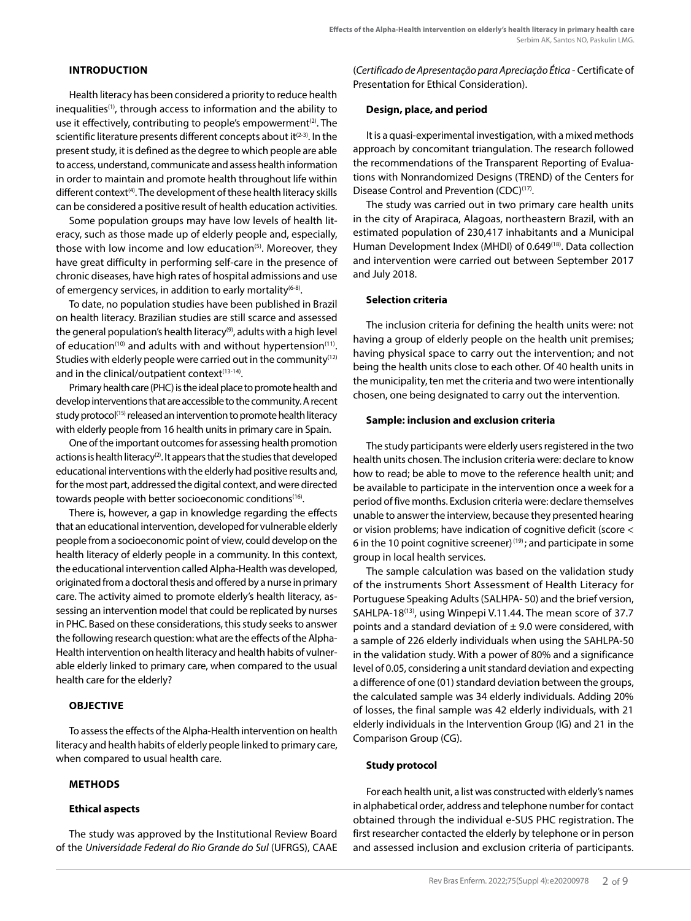#### **INTRODUCTION**

Health literacy has been considered a priority to reduce health inequalities<sup>(1)</sup>, through access to information and the ability to use it effectively, contributing to people's empowerment<sup>(2)</sup>. The scientific literature presents different concepts about it<sup>(2-3)</sup>. In the present study, it is defined as the degree to which people are able to access, understand, communicate and assess health information in order to maintain and promote health throughout life within different context<sup>(4)</sup>. The development of these health literacy skills can be considered a positive result of health education activities.

Some population groups may have low levels of health literacy, such as those made up of elderly people and, especially, those with low income and low education<sup>(5)</sup>. Moreover, they have great difficulty in performing self-care in the presence of chronic diseases, have high rates of hospital admissions and use of emergency services, in addition to early mortality $(6-8)$ .

To date, no population studies have been published in Brazil on health literacy. Brazilian studies are still scarce and assessed the general population's health literacy<sup>(9)</sup>, adults with a high level of education<sup>(10)</sup> and adults with and without hypertension<sup>(11)</sup>. Studies with elderly people were carried out in the community<sup>(12)</sup> and in the clinical/outpatient context $(13-14)$ .

Primary health care (PHC) is the ideal place to promote health and develop interventions that are accessible to the community. A recent study protocol<sup>(15)</sup> released an intervention to promote health literacy with elderly people from 16 health units in primary care in Spain.

One of the important outcomes for assessing health promotion actions is health literacy<sup>(2)</sup>. It appears that the studies that developed educational interventions with the elderly had positive results and, for the most part, addressed the digital context, and were directed towards people with better socioeconomic conditions(16).

There is, however, a gap in knowledge regarding the effects that an educational intervention, developed for vulnerable elderly people from a socioeconomic point of view, could develop on the health literacy of elderly people in a community. In this context, the educational intervention called Alpha-Health was developed, originated from a doctoral thesis and offered by a nurse in primary care. The activity aimed to promote elderly's health literacy, assessing an intervention model that could be replicated by nurses in PHC. Based on these considerations, this study seeks to answer the following research question: what are the effects of the Alpha-Health intervention on health literacy and health habits of vulnerable elderly linked to primary care, when compared to the usual health care for the elderly?

# **OBJECTIVE**

To assess the effects of the Alpha-Health intervention on health literacy and health habits of elderly people linked to primary care, when compared to usual health care.

# **METHODS**

# **Ethical aspects**

The study was approved by the Institutional Review Board of the *Universidade Federal do Rio Grande do Sul* (UFRGS), CAAE (*Certificado de Apresentação para Apreciação Ética* - Certificate of Presentation for Ethical Consideration).

#### **Design, place, and period**

It is a quasi-experimental investigation, with a mixed methods approach by concomitant triangulation. The research followed the recommendations of the Transparent Reporting of Evaluations with Nonrandomized Designs (TREND) of the Centers for Disease Control and Prevention (CDC)<sup>(17)</sup>.

The study was carried out in two primary care health units in the city of Arapiraca, Alagoas, northeastern Brazil, with an estimated population of 230,417 inhabitants and a Municipal Human Development Index (MHDI) of 0.649<sup>(18)</sup>. Data collection and intervention were carried out between September 2017 and July 2018.

#### **Selection criteria**

The inclusion criteria for defining the health units were: not having a group of elderly people on the health unit premises; having physical space to carry out the intervention; and not being the health units close to each other. Of 40 health units in the municipality, ten met the criteria and two were intentionally chosen, one being designated to carry out the intervention.

#### **Sample: inclusion and exclusion criteria**

The study participants were elderly users registered in the two health units chosen. The inclusion criteria were: declare to know how to read; be able to move to the reference health unit; and be available to participate in the intervention once a week for a period of five months. Exclusion criteria were: declare themselves unable to answer the interview, because they presented hearing or vision problems; have indication of cognitive deficit (score < 6 in the 10 point cognitive screener)<sup>(19)</sup>; and participate in some group in local health services.

The sample calculation was based on the validation study of the instruments Short Assessment of Health Literacy for Portuguese Speaking Adults (SALHPA- 50) and the brief version, SAHLPA-18<sup>(13)</sup>, using Winpepi V.11.44. The mean score of 37.7 points and a standard deviation of  $\pm$  9.0 were considered, with a sample of 226 elderly individuals when using the SAHLPA-50 in the validation study. With a power of 80% and a significance level of 0.05, considering a unit standard deviation and expecting a difference of one (01) standard deviation between the groups, the calculated sample was 34 elderly individuals. Adding 20% of losses, the final sample was 42 elderly individuals, with 21 elderly individuals in the Intervention Group (IG) and 21 in the Comparison Group (CG).

# **Study protocol**

For each health unit, a list was constructed with elderly's names in alphabetical order, address and telephone number for contact obtained through the individual e-SUS PHC registration. The first researcher contacted the elderly by telephone or in person and assessed inclusion and exclusion criteria of participants.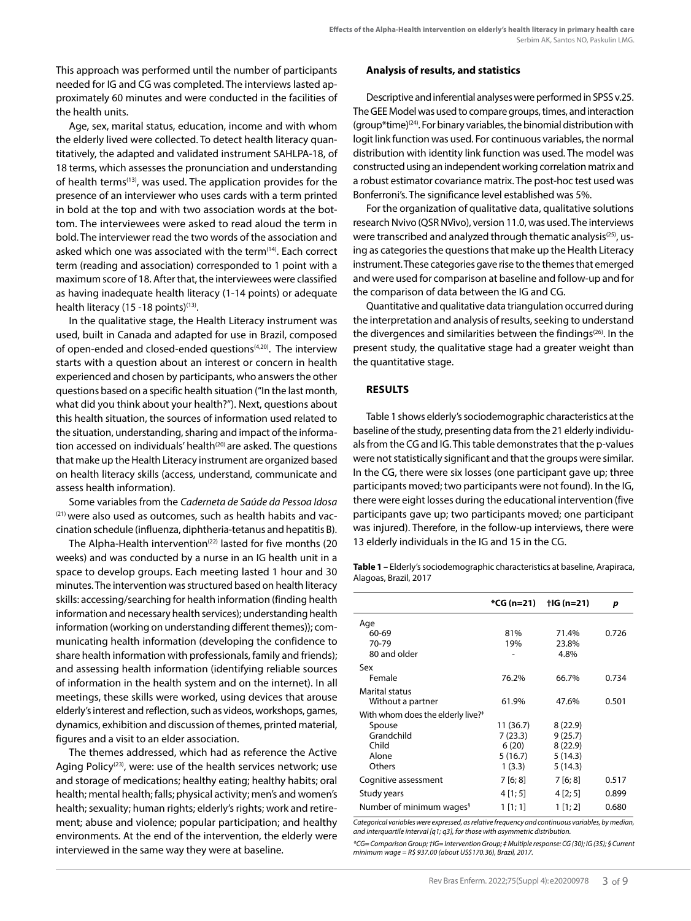This approach was performed until the number of participants needed for IG and CG was completed. The interviews lasted approximately 60 minutes and were conducted in the facilities of the health units.

Age, sex, marital status, education, income and with whom the elderly lived were collected. To detect health literacy quantitatively, the adapted and validated instrument SAHLPA-18, of 18 terms, which assesses the pronunciation and understanding of health terms<sup>(13)</sup>, was used. The application provides for the presence of an interviewer who uses cards with a term printed in bold at the top and with two association words at the bottom. The interviewees were asked to read aloud the term in bold. The interviewer read the two words of the association and asked which one was associated with the term<sup>(14)</sup>. Each correct term (reading and association) corresponded to 1 point with a maximum score of 18. After that, the interviewees were classified as having inadequate health literacy (1-14 points) or adequate health literacy (15 -18 points) $(13)$ .

In the qualitative stage, the Health Literacy instrument was used, built in Canada and adapted for use in Brazil, composed of open-ended and closed-ended questions<sup>(4,20)</sup>. The interview starts with a question about an interest or concern in health experienced and chosen by participants, who answers the other questions based on a specific health situation ("In the last month, what did you think about your health?"). Next, questions about this health situation, the sources of information used related to the situation, understanding, sharing and impact of the information accessed on individuals' health<sup>(20)</sup> are asked. The questions that make up the Health Literacy instrument are organized based on health literacy skills (access, understand, communicate and assess health information).

Some variables from the *Caderneta de Saúde da Pessoa Idosa* <sup>(21)</sup> were also used as outcomes, such as health habits and vaccination schedule (influenza, diphtheria-tetanus and hepatitis B).

The Alpha-Health intervention<sup>(22)</sup> lasted for five months (20 weeks) and was conducted by a nurse in an IG health unit in a space to develop groups. Each meeting lasted 1 hour and 30 minutes. The intervention was structured based on health literacy skills: accessing/searching for health information (finding health information and necessary health services); understanding health information (working on understanding different themes)); communicating health information (developing the confidence to share health information with professionals, family and friends); and assessing health information (identifying reliable sources of information in the health system and on the internet). In all meetings, these skills were worked, using devices that arouse elderly's interest and reflection, such as videos, workshops, games, dynamics, exhibition and discussion of themes, printed material, figures and a visit to an elder association.

The themes addressed, which had as reference the Active Aging Policy<sup> $(23)$ </sup>, were: use of the health services network; use and storage of medications; healthy eating; healthy habits; oral health; mental health; falls; physical activity; men's and women's health; sexuality; human rights; elderly's rights; work and retirement; abuse and violence; popular participation; and healthy environments. At the end of the intervention, the elderly were interviewed in the same way they were at baseline.

#### **Analysis of results, and statistics**

Descriptive and inferential analyses were performed in SPSS v.25. The GEE Model was used to compare groups, times, and interaction (group\*time)<sup>(24)</sup>. For binary variables, the binomial distribution with logit link function was used. For continuous variables, the normal distribution with identity link function was used. The model was constructed using an independent working correlation matrix and a robust estimator covariance matrix. The post-hoc test used was Bonferroni's. The significance level established was 5%.

For the organization of qualitative data, qualitative solutions research Nvivo (QSR NVivo), version 11.0, was used. The interviews were transcribed and analyzed through thematic analysis<sup>(25)</sup>, using as categories the questions that make up the Health Literacy instrument. These categories gave rise to the themes that emerged and were used for comparison at baseline and follow-up and for the comparison of data between the IG and CG.

Quantitative and qualitative data triangulation occurred during the interpretation and analysis of results, seeking to understand the divergences and similarities between the findings<sup>(26)</sup>. In the present study, the qualitative stage had a greater weight than the quantitative stage.

#### **RESULTS**

Table 1 shows elderly's sociodemographic characteristics at the baseline of the study, presenting data from the 21 elderly individuals from the CG and IG. This table demonstrates that the p-values were not statistically significant and that the groups were similar. In the CG, there were six losses (one participant gave up; three participants moved; two participants were not found). In the IG, there were eight losses during the educational intervention (five participants gave up; two participants moved; one participant was injured). Therefore, in the follow-up interviews, there were 13 elderly individuals in the IG and 15 in the CG.

**Table 1 –** Elderly's sociodemographic characteristics at baseline, Arapiraca, Alagoas, Brazil, 2017

|                                               | *CG (n=21) | †IG (n=21) | p     |
|-----------------------------------------------|------------|------------|-------|
| Age                                           |            |            |       |
| 60-69                                         | 81%        | 71.4%      | 0.726 |
| 70-79                                         | 19%        | 23.8%      |       |
| 80 and older                                  |            | 4.8%       |       |
| Sex                                           |            |            |       |
| Female                                        | 76.2%      | 66.7%      | 0.734 |
| Marital status                                |            |            |       |
| Without a partner                             | 61.9%      | 47.6%      | 0.501 |
| With whom does the elderly live? <sup>#</sup> |            |            |       |
| Spouse                                        | 11 (36.7)  | 8(22.9)    |       |
| Grandchild                                    | 7 (23.3)   | 9(25.7)    |       |
| Child                                         | 6 (20)     | 8(22.9)    |       |
| Alone                                         | 5 (16.7)   | 5(14.3)    |       |
| Others                                        | 1(3.3)     | 5(14.3)    |       |
| Cognitive assessment                          | 7 [6; 8]   | 7[6;8]     | 0.517 |
| Study years                                   | 4 [1; 5]   | 4[2;5]     | 0.899 |
| Number of minimum wages <sup>§</sup>          | 1[1;1]     | 1 [1; 2]   | 0.680 |

*Categorical variables were expressed, as relative frequency and continuous variables, by median, and interquartile interval [q1; q3], for those with asymmetric distribution.*

*\*CG= Comparison Group; †IG= Intervention Group; ‡ Multiple response: CG (30); IG (35); § Current minimum wage = R\$ 937.00 (about US\$170.36), Brazil, 2017.*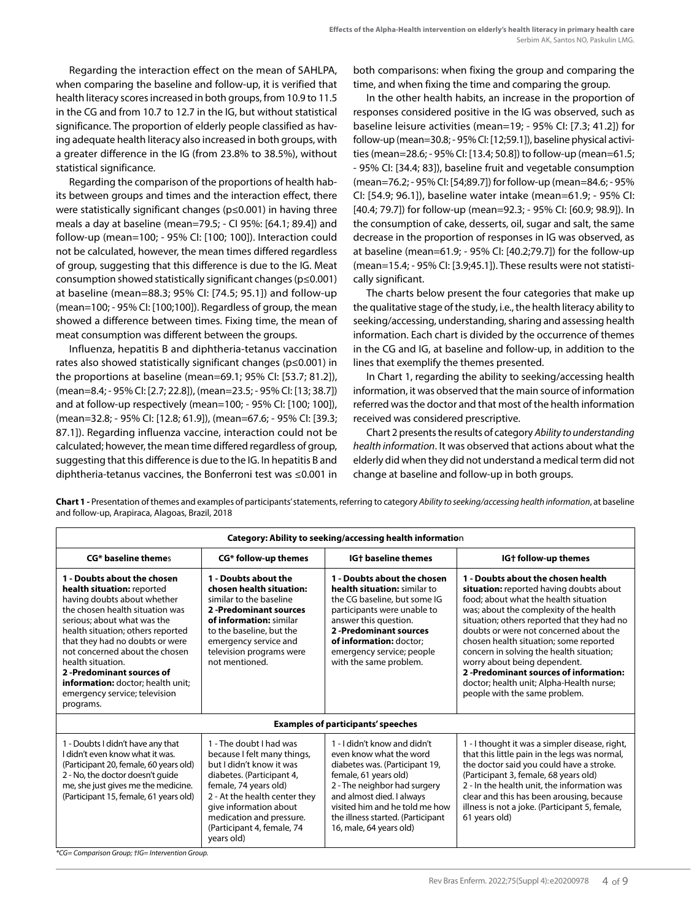Regarding the interaction effect on the mean of SAHLPA, when comparing the baseline and follow-up, it is verified that health literacy scores increased in both groups, from 10.9 to 11.5 in the CG and from 10.7 to 12.7 in the IG, but without statistical significance. The proportion of elderly people classified as having adequate health literacy also increased in both groups, with a greater difference in the IG (from 23.8% to 38.5%), without statistical significance.

Regarding the comparison of the proportions of health habits between groups and times and the interaction effect, there were statistically significant changes (p≤0.001) in having three meals a day at baseline (mean=79.5; - CI 95%: [64.1; 89.4]) and follow-up (mean=100; - 95% CI: [100; 100]). Interaction could not be calculated, however, the mean times differed regardless of group, suggesting that this difference is due to the IG. Meat consumption showed statistically significant changes (p≤0.001) at baseline (mean=88.3; 95% CI: [74.5; 95.1]) and follow-up (mean=100; - 95% CI: [100;100]). Regardless of group, the mean showed a difference between times. Fixing time, the mean of meat consumption was different between the groups.

Influenza, hepatitis B and diphtheria-tetanus vaccination rates also showed statistically significant changes (p≤0.001) in the proportions at baseline (mean=69.1; 95% CI: [53.7; 81.2]), (mean=8.4; - 95% CI: [2.7; 22.8]), (mean=23.5; - 95% CI: [13; 38.7]) and at follow-up respectively (mean=100; - 95% CI: [100; 100]), (mean=32.8; - 95% CI: [12.8; 61.9]), (mean=67.6; - 95% CI: [39.3; 87.1]). Regarding influenza vaccine, interaction could not be calculated; however, the mean time differed regardless of group, suggesting that this difference is due to the IG. In hepatitis B and diphtheria-tetanus vaccines, the Bonferroni test was ≤0.001 in both comparisons: when fixing the group and comparing the time, and when fixing the time and comparing the group.

In the other health habits, an increase in the proportion of responses considered positive in the IG was observed, such as baseline leisure activities (mean=19; - 95% CI: [7.3; 41.2]) for follow-up (mean=30.8; - 95% CI: [12;59.1]), baseline physical activities (mean=28.6; - 95% CI: [13.4; 50.8]) to follow-up (mean=61.5; - 95% CI: [34.4; 83]), baseline fruit and vegetable consumption (mean=76.2; - 95% CI: [54;89.7]) for follow-up (mean=84.6; - 95% CI: [54.9; 96.1]), baseline water intake (mean=61.9; - 95% CI: [40.4; 79.7]) for follow-up (mean=92.3; - 95% CI: [60.9; 98.9]). In the consumption of cake, desserts, oil, sugar and salt, the same decrease in the proportion of responses in IG was observed, as at baseline (mean=61.9; - 95% CI: [40.2;79.7]) for the follow-up (mean=15.4; - 95% CI: [3.9;45.1]). These results were not statistically significant.

The charts below present the four categories that make up the qualitative stage of the study, i.e., the health literacy ability to seeking/accessing, understanding, sharing and assessing health information. Each chart is divided by the occurrence of themes in the CG and IG, at baseline and follow-up, in addition to the lines that exemplify the themes presented.

In Chart 1, regarding the ability to seeking/accessing health information, it was observed that the main source of information referred was the doctor and that most of the health information received was considered prescriptive.

Chart 2 presents the results of category *Ability to understanding health information*. It was observed that actions about what the elderly did when they did not understand a medical term did not change at baseline and follow-up in both groups.

| Category: Ability to seeking/accessing health information                                                                                                                                                                                                                                                                                                                                                 |                                                                                                                                                                                                                                                                             |                                                                                                                                                                                                                                                                                   |                                                                                                                                                                                                                                                                                                                                                                                                                                                                                                        |  |
|-----------------------------------------------------------------------------------------------------------------------------------------------------------------------------------------------------------------------------------------------------------------------------------------------------------------------------------------------------------------------------------------------------------|-----------------------------------------------------------------------------------------------------------------------------------------------------------------------------------------------------------------------------------------------------------------------------|-----------------------------------------------------------------------------------------------------------------------------------------------------------------------------------------------------------------------------------------------------------------------------------|--------------------------------------------------------------------------------------------------------------------------------------------------------------------------------------------------------------------------------------------------------------------------------------------------------------------------------------------------------------------------------------------------------------------------------------------------------------------------------------------------------|--|
| <b>CG*</b> baseline themes                                                                                                                                                                                                                                                                                                                                                                                | CG* follow-up themes                                                                                                                                                                                                                                                        | <b>IG+</b> baseline themes                                                                                                                                                                                                                                                        | IG+ follow-up themes                                                                                                                                                                                                                                                                                                                                                                                                                                                                                   |  |
| 1 - Doubts about the chosen<br>health situation: reported<br>having doubts about whether<br>the chosen health situation was<br>serious: about what was the<br>health situation; others reported<br>that they had no doubts or were<br>not concerned about the chosen<br>health situation.<br>2 -Predominant sources of<br>information: doctor; health unit;<br>emergency service; television<br>programs. | 1 - Doubts about the<br>chosen health situation:<br>similar to the baseline<br>2-Predominant sources<br>of information: similar<br>to the baseline, but the<br>emergency service and<br>television programs were<br>not mentioned.                                          | 1 - Doubts about the chosen<br>health situation: similar to<br>the CG baseline, but some IG<br>participants were unable to<br>answer this question.<br>2 -Predominant sources<br>of information: doctor;<br>emergency service; people<br>with the same problem.                   | 1 - Doubts about the chosen health<br>situation: reported having doubts about<br>food: about what the health situation<br>was; about the complexity of the health<br>situation; others reported that they had no<br>doubts or were not concerned about the<br>chosen health situation; some reported<br>concern in solving the health situation;<br>worry about being dependent.<br>2-Predominant sources of information:<br>doctor; health unit; Alpha-Health nurse;<br>people with the same problem. |  |
| <b>Examples of participants' speeches</b>                                                                                                                                                                                                                                                                                                                                                                 |                                                                                                                                                                                                                                                                             |                                                                                                                                                                                                                                                                                   |                                                                                                                                                                                                                                                                                                                                                                                                                                                                                                        |  |
| 1 - Doubts I didn't have any that<br>I didn't even know what it was.<br>(Participant 20, female, 60 years old)<br>2 - No, the doctor doesn't quide<br>me, she just gives me the medicine.<br>(Participant 15, female, 61 years old)<br>$\sim$ $\sim$ $\sim$ $\sim$ $\sim$ $\sim$ $\sim$ $\sim$                                                                                                            | 1 - The doubt I had was<br>because I felt many things,<br>but I didn't know it was<br>diabetes. (Participant 4,<br>female, 74 years old)<br>2 - At the health center they<br>give information about<br>medication and pressure.<br>(Participant 4, female, 74<br>years old) | 1 - I didn't know and didn't<br>even know what the word<br>diabetes was. (Participant 19,<br>female, 61 years old)<br>2 - The neighbor had surgery<br>and almost died. I always<br>visited him and he told me how<br>the illness started. (Participant<br>16, male, 64 years old) | 1 - I thought it was a simpler disease, right,<br>that this little pain in the legs was normal,<br>the doctor said you could have a stroke.<br>(Participant 3, female, 68 years old)<br>2 - In the health unit, the information was<br>clear and this has been arousing, because<br>illness is not a joke. (Participant 5, female,<br>61 years old)                                                                                                                                                    |  |

**Chart 1 -** Presentation of themes and examples of participants' statements, referring to category *Ability to seeking/accessing health information*, at baseline and follow-up, Arapiraca, Alagoas, Brazil, 2018

*\*CG= Comparison Group; †IG= Intervention Group.*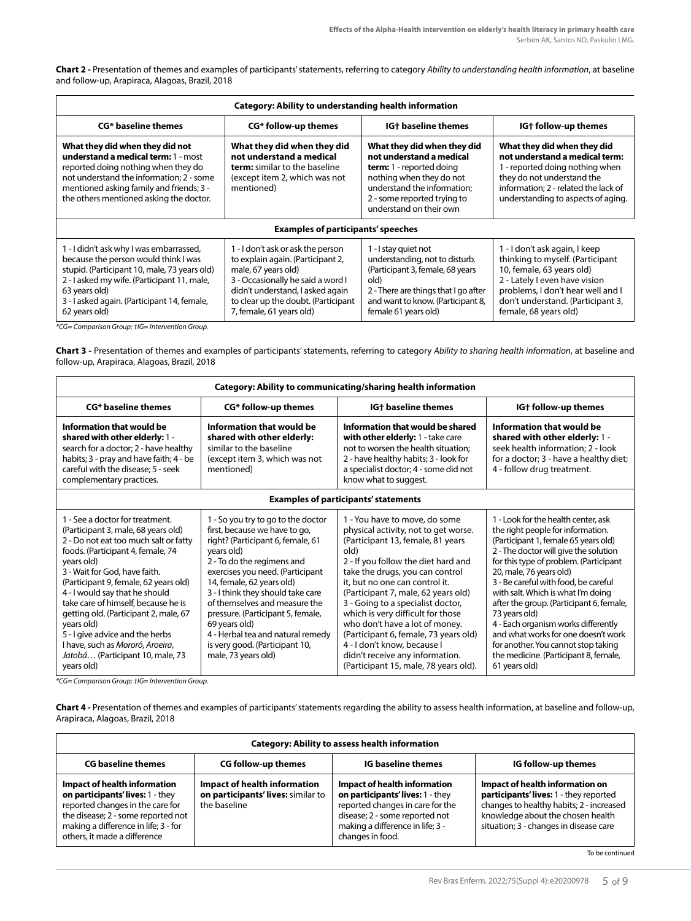**Chart 2 -** Presentation of themes and examples of participants' statements, referring to category *Ability to understanding health information*, at baseline and follow-up, Arapiraca, Alagoas, Brazil, 2018

| <b>Category: Ability to understanding health information</b>                                                                                                                                                                                                    |                                                                                                                                                                                                                                           |                                                                                                                                                                                                                 |                                                                                                                                                                                                                                    |
|-----------------------------------------------------------------------------------------------------------------------------------------------------------------------------------------------------------------------------------------------------------------|-------------------------------------------------------------------------------------------------------------------------------------------------------------------------------------------------------------------------------------------|-----------------------------------------------------------------------------------------------------------------------------------------------------------------------------------------------------------------|------------------------------------------------------------------------------------------------------------------------------------------------------------------------------------------------------------------------------------|
| <b>CG*</b> baseline themes                                                                                                                                                                                                                                      | CG* follow-up themes                                                                                                                                                                                                                      | <b>IG+</b> baseline themes                                                                                                                                                                                      | IGt follow-up themes                                                                                                                                                                                                               |
| What they did when they did not<br>understand a medical term: 1 - most<br>reported doing nothing when they do<br>not understand the information; 2 - some<br>mentioned asking family and friends; 3 -<br>the others mentioned asking the doctor.                | What they did when they did<br>not understand a medical<br>term: similar to the baseline<br>(except item 2, which was not<br>mentioned)                                                                                                   | What they did when they did<br>not understand a medical<br><b>term:</b> 1 - reported doing<br>nothing when they do not<br>understand the information:<br>2 - some reported trying to<br>understand on their own | What they did when they did<br>not understand a medical term:<br>1 - reported doing nothing when<br>they do not understand the<br>information: 2 - related the lack of<br>understanding to aspects of aging.                       |
| <b>Examples of participants' speeches</b>                                                                                                                                                                                                                       |                                                                                                                                                                                                                                           |                                                                                                                                                                                                                 |                                                                                                                                                                                                                                    |
| 1 - I didn't ask why I was embarrassed,<br>because the person would think I was<br>stupid. (Participant 10, male, 73 years old)<br>2 - I asked my wife. (Participant 11, male,<br>63 years old)<br>3 - I asked again. (Participant 14, female,<br>62 years old) | 1 - I don't ask or ask the person<br>to explain again. (Participant 2,<br>male, 67 years old)<br>3 - Occasionally he said a word I<br>didn't understand, I asked again<br>to clear up the doubt. (Participant<br>7, female, 61 years old) | 1 - I stay quiet not<br>understanding, not to disturb.<br>(Participant 3, female, 68 years<br>old)<br>2 - There are things that I go after<br>and want to know. (Participant 8,<br>female 61 years old)         | 1 - I don't ask again, I keep<br>thinking to myself. (Participant<br>10, female, 63 years old)<br>2 - Lately I even have vision<br>problems, I don't hear well and I<br>don't understand. (Participant 3,<br>female, 68 years old) |

*\*CG= Comparison Group; †IG= Intervention Group.*

**Chart 3 -** Presentation of themes and examples of participants' statements, referring to category *Ability to sharing health information*, at baseline and follow-up, Arapiraca, Alagoas, Brazil, 2018

| <b>Category: Ability to communicating/sharing health information</b>                                                                                                                                                                                                                                                                                                                                                                                                                                  |                                                                                                                                                                                                                                                                                                                                                                                                                                                 |                                                                                                                                                                                                                                                                                                                                                                                                                                                                                                                                       |                                                                                                                                                                                                                                                                                                                                                                                                                                                                                                                                                          |
|-------------------------------------------------------------------------------------------------------------------------------------------------------------------------------------------------------------------------------------------------------------------------------------------------------------------------------------------------------------------------------------------------------------------------------------------------------------------------------------------------------|-------------------------------------------------------------------------------------------------------------------------------------------------------------------------------------------------------------------------------------------------------------------------------------------------------------------------------------------------------------------------------------------------------------------------------------------------|---------------------------------------------------------------------------------------------------------------------------------------------------------------------------------------------------------------------------------------------------------------------------------------------------------------------------------------------------------------------------------------------------------------------------------------------------------------------------------------------------------------------------------------|----------------------------------------------------------------------------------------------------------------------------------------------------------------------------------------------------------------------------------------------------------------------------------------------------------------------------------------------------------------------------------------------------------------------------------------------------------------------------------------------------------------------------------------------------------|
| <b>CG*</b> baseline themes                                                                                                                                                                                                                                                                                                                                                                                                                                                                            | CG* follow-up themes                                                                                                                                                                                                                                                                                                                                                                                                                            | <b>IG+</b> baseline themes                                                                                                                                                                                                                                                                                                                                                                                                                                                                                                            | IG+ follow-up themes                                                                                                                                                                                                                                                                                                                                                                                                                                                                                                                                     |
| Information that would be<br>shared with other elderly: 1 -<br>search for a doctor; 2 - have healthy<br>habits; 3 - pray and have faith; 4 - be<br>careful with the disease; 5 - seek<br>complementary practices.                                                                                                                                                                                                                                                                                     | Information that would be<br>shared with other elderly:<br>similar to the baseline<br>(except item 3, which was not<br>mentioned)                                                                                                                                                                                                                                                                                                               | Information that would be shared<br>with other elderly: 1 - take care<br>not to worsen the health situation;<br>2 - have healthy habits; 3 - look for<br>a specialist doctor; 4 - some did not<br>know what to suggest.                                                                                                                                                                                                                                                                                                               | Information that would be<br>shared with other elderly: 1 -<br>seek health information; 2 - look<br>for a doctor; 3 - have a healthy diet;<br>4 - follow drug treatment.                                                                                                                                                                                                                                                                                                                                                                                 |
|                                                                                                                                                                                                                                                                                                                                                                                                                                                                                                       |                                                                                                                                                                                                                                                                                                                                                                                                                                                 | <b>Examples of participants' statements</b>                                                                                                                                                                                                                                                                                                                                                                                                                                                                                           |                                                                                                                                                                                                                                                                                                                                                                                                                                                                                                                                                          |
| 1 - See a doctor for treatment.<br>(Participant 3, male, 68 years old)<br>2 - Do not eat too much salt or fatty<br>foods. (Participant 4, female, 74<br>years old)<br>3 - Wait for God, have faith.<br>(Participant 9, female, 62 years old)<br>4 - I would say that he should<br>take care of himself, because he is<br>getting old. (Participant 2, male, 67<br>years old)<br>5 - I give advice and the herbs<br>I have, such as Mororó, Aroeira,<br>Jatobá (Participant 10, male, 73<br>years old) | 1 - So you try to go to the doctor<br>first, because we have to go,<br>right? (Participant 6, female, 61<br>vears old)<br>2 - To do the regimens and<br>exercises you need. (Participant<br>14, female, 62 years old)<br>3 - I think they should take care<br>of themselves and measure the<br>pressure. (Participant 5, female,<br>69 years old)<br>4 - Herbal tea and natural remedy<br>is very good. (Participant 10,<br>male, 73 years old) | 1 - You have to move, do some<br>physical activity, not to get worse.<br>(Participant 13, female, 81 years<br>old)<br>2 - If you follow the diet hard and<br>take the drugs, you can control<br>it, but no one can control it.<br>(Participant 7, male, 62 years old)<br>3 - Going to a specialist doctor,<br>which is very difficult for those<br>who don't have a lot of money.<br>(Participant 6, female, 73 years old)<br>4 - I don't know, because I<br>didn't receive any information.<br>(Participant 15, male, 78 years old). | 1 - Look for the health center, ask<br>the right people for information.<br>(Participant 1, female 65 years old)<br>2 - The doctor will give the solution<br>for this type of problem. (Participant<br>20, male, 76 years old)<br>3 - Be careful with food, be careful<br>with salt. Which is what I'm doing<br>after the group. (Participant 6, female,<br>73 years old)<br>4 - Each organism works differently<br>and what works for one doesn't work<br>for another. You cannot stop taking<br>the medicine. (Participant 8, female,<br>61 years old) |

*\*CG= Comparison Group; †IG= Intervention Group.*

**Chart 4 -** Presentation of themes and examples of participants' statements regarding the ability to assess health information, at baseline and follow-up, Arapiraca, Alagoas, Brazil, 2018

| <b>Category: Ability to assess health information</b>                                                                                                                                                                     |                                                                                           |                                                                                                                                                                                                       |                                                                                                                                                                                                      |
|---------------------------------------------------------------------------------------------------------------------------------------------------------------------------------------------------------------------------|-------------------------------------------------------------------------------------------|-------------------------------------------------------------------------------------------------------------------------------------------------------------------------------------------------------|------------------------------------------------------------------------------------------------------------------------------------------------------------------------------------------------------|
| <b>CG baseline themes</b>                                                                                                                                                                                                 | <b>CG follow-up themes</b>                                                                | <b>IG baseline themes</b>                                                                                                                                                                             | IG follow-up themes                                                                                                                                                                                  |
| <b>Impact of health information</b><br>on participants' lives: 1 - they<br>reported changes in the care for<br>the disease; 2 - some reported not<br>making a difference in life; 3 - for<br>others, it made a difference | <b>Impact of health information</b><br>on participants' lives: similar to<br>the baseline | <b>Impact of health information</b><br>on participants' lives: 1 - they<br>reported changes in care for the<br>disease; 2 - some reported not<br>making a difference in life; 3 -<br>changes in food. | Impact of health information on<br>participants' lives: 1 - they reported<br>changes to healthy habits; 2 - increased<br>knowledge about the chosen health<br>situation; 3 - changes in disease care |

To be continued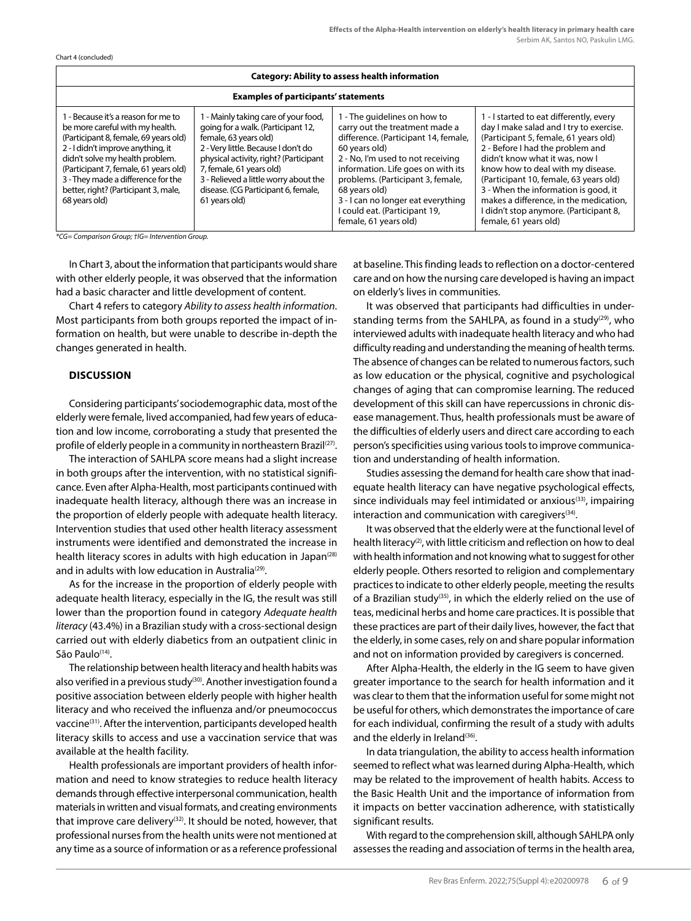Chart 4 (concluded)

| <b>Category: Ability to assess health information</b>                                                                                                                                                                                                                                                                           |                                                                                                                                                                                                                                                                                                                   |                                                                                                                                                                                                                                                                                                                                                          |                                                                                                                                                                                                                                                                                                                                                                                                                                       |
|---------------------------------------------------------------------------------------------------------------------------------------------------------------------------------------------------------------------------------------------------------------------------------------------------------------------------------|-------------------------------------------------------------------------------------------------------------------------------------------------------------------------------------------------------------------------------------------------------------------------------------------------------------------|----------------------------------------------------------------------------------------------------------------------------------------------------------------------------------------------------------------------------------------------------------------------------------------------------------------------------------------------------------|---------------------------------------------------------------------------------------------------------------------------------------------------------------------------------------------------------------------------------------------------------------------------------------------------------------------------------------------------------------------------------------------------------------------------------------|
| <b>Examples of participants' statements</b>                                                                                                                                                                                                                                                                                     |                                                                                                                                                                                                                                                                                                                   |                                                                                                                                                                                                                                                                                                                                                          |                                                                                                                                                                                                                                                                                                                                                                                                                                       |
| 1 - Because it's a reason for me to<br>be more careful with my health.<br>(Participant 8, female, 69 years old)<br>2 - I didn't improve anything, it<br>didn't solve my health problem.<br>(Participant 7, female, 61 years old)<br>3 - They made a difference for the<br>better, right? (Participant 3, male,<br>68 years old) | I - Mainly taking care of your food,<br>going for a walk. (Participant 12,<br>female, 63 years old)<br>2 - Very little. Because I don't do<br>physical activity, right? (Participant<br>7, female, 61 years old)<br>3 - Relieved a little worry about the<br>disease. (CG Participant 6, female,<br>61 years old) | I - The quidelines on how to<br>carry out the treatment made a<br>difference. (Participant 14, female,<br>60 years old)<br>2 - No, I'm used to not receiving<br>information. Life goes on with its<br>problems. (Participant 3, female,<br>68 years old)<br>3 - I can no longer eat everything<br>I could eat. (Participant 19,<br>female, 61 years old) | 1 - I started to eat differently, every<br>day I make salad and I try to exercise.<br>(Participant 5, female, 61 years old)<br>2 - Before I had the problem and<br>didn't know what it was, now I<br>know how to deal with my disease.<br>(Participant 10, female, 63 years old)<br>3 - When the information is good, it<br>makes a difference, in the medication,<br>I didn't stop anymore. (Participant 8,<br>female, 61 years old) |

*\*CG= Comparison Group; †IG= Intervention Group.*

In Chart 3, about the information that participants would share with other elderly people, it was observed that the information had a basic character and little development of content.

Chart 4 refers to category *Ability to assess health information*. Most participants from both groups reported the impact of information on health, but were unable to describe in-depth the changes generated in health.

#### **DISCUSSION**

Considering participants' sociodemographic data, most of the elderly were female, lived accompanied, had few years of education and low income, corroborating a study that presented the profile of elderly people in a community in northeastern Brazil<sup>(27)</sup>.

The interaction of SAHLPA score means had a slight increase in both groups after the intervention, with no statistical significance. Even after Alpha-Health, most participants continued with inadequate health literacy, although there was an increase in the proportion of elderly people with adequate health literacy. Intervention studies that used other health literacy assessment instruments were identified and demonstrated the increase in health literacy scores in adults with high education in Japan<sup>(28)</sup> and in adults with low education in Australia<sup>(29)</sup>.

As for the increase in the proportion of elderly people with adequate health literacy, especially in the IG, the result was still lower than the proportion found in category *Adequate health literacy* (43.4%) in a Brazilian study with a cross-sectional design carried out with elderly diabetics from an outpatient clinic in São Paulo<sup>(14)</sup>.

The relationship between health literacy and health habits was also verified in a previous study<sup>(30)</sup>. Another investigation found a positive association between elderly people with higher health literacy and who received the influenza and/or pneumococcus vaccine<sup>(31)</sup>. After the intervention, participants developed health literacy skills to access and use a vaccination service that was available at the health facility.

Health professionals are important providers of health information and need to know strategies to reduce health literacy demands through effective interpersonal communication, health materials in written and visual formats, and creating environments that improve care delivery<sup>(32)</sup>. It should be noted, however, that professional nurses from the health units were not mentioned at any time as a source of information or as a reference professional at baseline. This finding leads to reflection on a doctor-centered care and on how the nursing care developed is having an impact on elderly's lives in communities.

It was observed that participants had difficulties in understanding terms from the SAHLPA, as found in a study<sup>(29)</sup>, who interviewed adults with inadequate health literacy and who had difficulty reading and understanding the meaning of health terms. The absence of changes can be related to numerous factors, such as low education or the physical, cognitive and psychological changes of aging that can compromise learning. The reduced development of this skill can have repercussions in chronic disease management. Thus, health professionals must be aware of the difficulties of elderly users and direct care according to each person's specificities using various tools to improve communication and understanding of health information.

Studies assessing the demand for health care show that inadequate health literacy can have negative psychological effects, since individuals may feel intimidated or anxious<sup>(33)</sup>, impairing interaction and communication with caregivers $(34)$ .

It was observed that the elderly were at the functional level of health literacy<sup>(2)</sup>, with little criticism and reflection on how to deal with health information and not knowing what to suggest for other elderly people. Others resorted to religion and complementary practices to indicate to other elderly people, meeting the results of a Brazilian study(35), in which the elderly relied on the use of teas, medicinal herbs and home care practices. It is possible that these practices are part of their daily lives, however, the fact that the elderly, in some cases, rely on and share popular information and not on information provided by caregivers is concerned.

After Alpha-Health, the elderly in the IG seem to have given greater importance to the search for health information and it was clear to them that the information useful for some might not be useful for others, which demonstrates the importance of care for each individual, confirming the result of a study with adults and the elderly in Ireland<sup>(36)</sup>.

In data triangulation, the ability to access health information seemed to reflect what was learned during Alpha-Health, which may be related to the improvement of health habits. Access to the Basic Health Unit and the importance of information from it impacts on better vaccination adherence, with statistically significant results.

With regard to the comprehension skill, although SAHLPA only assesses the reading and association of terms in the health area,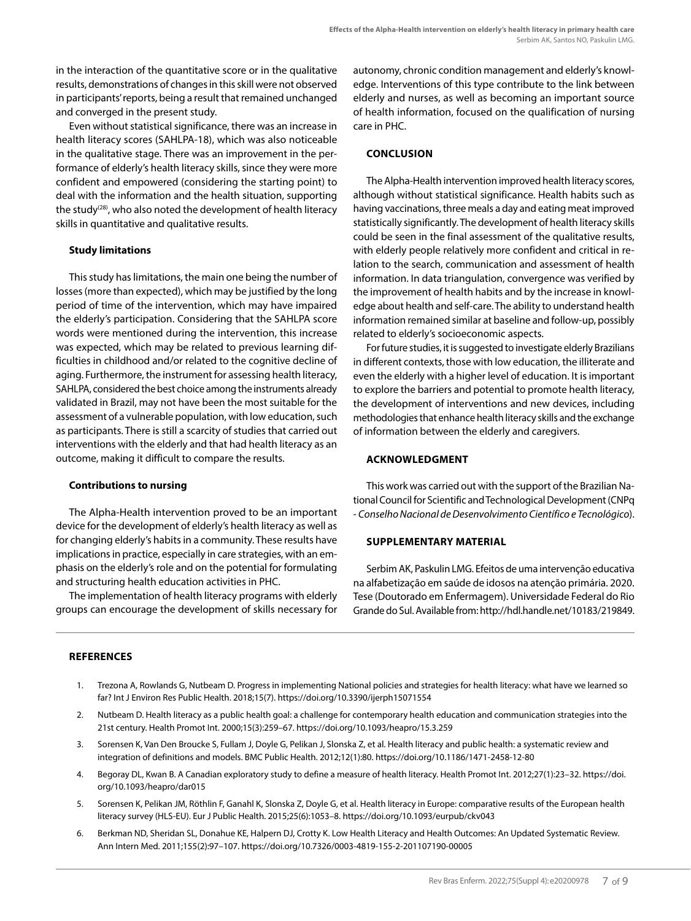in the interaction of the quantitative score or in the qualitative results, demonstrations of changes in this skill were not observed in participants' reports, being a result that remained unchanged and converged in the present study.

Even without statistical significance, there was an increase in health literacy scores (SAHLPA-18), which was also noticeable in the qualitative stage. There was an improvement in the performance of elderly's health literacy skills, since they were more confident and empowered (considering the starting point) to deal with the information and the health situation, supporting the study<sup>(28)</sup>, who also noted the development of health literacy skills in quantitative and qualitative results.

#### **Study limitations**

This study has limitations, the main one being the number of losses (more than expected), which may be justified by the long period of time of the intervention, which may have impaired the elderly's participation. Considering that the SAHLPA score words were mentioned during the intervention, this increase was expected, which may be related to previous learning difficulties in childhood and/or related to the cognitive decline of aging. Furthermore, the instrument for assessing health literacy, SAHLPA, considered the best choice among the instruments already validated in Brazil, may not have been the most suitable for the assessment of a vulnerable population, with low education, such as participants. There is still a scarcity of studies that carried out interventions with the elderly and that had health literacy as an outcome, making it difficult to compare the results.

#### **Contributions to nursing**

The Alpha-Health intervention proved to be an important device for the development of elderly's health literacy as well as for changing elderly's habits in a community. These results have implications in practice, especially in care strategies, with an emphasis on the elderly's role and on the potential for formulating and structuring health education activities in PHC.

The implementation of health literacy programs with elderly groups can encourage the development of skills necessary for autonomy, chronic condition management and elderly's knowledge. Interventions of this type contribute to the link between elderly and nurses, as well as becoming an important source of health information, focused on the qualification of nursing care in PHC.

# **CONCLUSION**

The Alpha-Health intervention improved health literacy scores, although without statistical significance. Health habits such as having vaccinations, three meals a day and eating meat improved statistically significantly. The development of health literacy skills could be seen in the final assessment of the qualitative results, with elderly people relatively more confident and critical in relation to the search, communication and assessment of health information. In data triangulation, convergence was verified by the improvement of health habits and by the increase in knowledge about health and self-care. The ability to understand health information remained similar at baseline and follow-up, possibly related to elderly's socioeconomic aspects.

For future studies, it is suggested to investigate elderly Brazilians in different contexts, those with low education, the illiterate and even the elderly with a higher level of education. It is important to explore the barriers and potential to promote health literacy, the development of interventions and new devices, including methodologies that enhance health literacy skills and the exchange of information between the elderly and caregivers.

#### **ACKNOWLEDGMENT**

This work was carried out with the support of the Brazilian National Council for Scientific and Technological Development (CNPq - *Conselho Nacional de Desenvolvimento Científico e Tecnológico*).

#### **SUPPLEMENTARY MATERIAL**

Serbim AK, Paskulin LMG. Efeitos de uma intervenção educativa na alfabetização em saúde de idosos na atenção primária. 2020. Tese (Doutorado em Enfermagem). Universidade Federal do Rio Grande do Sul. Available from:<http://hdl.handle.net/10183/219849>.

#### **REFERENCES**

- 1. Trezona A, Rowlands G, Nutbeam D. Progress in implementing National policies and strategies for health literacy: what have we learned so far? Int J Environ Res Public Health. 2018;15(7). https://doi.org/10.3390/ijerph15071554
- 2. Nutbeam D. Health literacy as a public health goal: a challenge for contemporary health education and communication strategies into the 21st century. Health Promot Int. 2000;15(3):259–67. https://doi.org/10.1093/heapro/15.3.259
- 3. Sorensen K, Van Den Broucke S, Fullam J, Doyle G, Pelikan J, Slonska Z, et al. Health literacy and public health: a systematic review and integration of definitions and models. BMC Public Health. 2012;12(1):80. https://doi.org/10.1186/1471-2458-12-80
- 4. Begoray DL, Kwan B. A Canadian exploratory study to define a measure of health literacy. Health Promot Int. 2012;27(1):23–32. https://doi. org/10.1093/heapro/dar015
- 5. Sorensen K, Pelikan JM, Röthlin F, Ganahl K, Slonska Z, Doyle G, et al. Health literacy in Europe: comparative results of the European health literacy survey (HLS-EU). Eur J Public Health. 2015;25(6):1053–8. https://doi.org/10.1093/eurpub/ckv043
- 6. Berkman ND, Sheridan SL, Donahue KE, Halpern DJ, Crotty K. Low Health Literacy and Health Outcomes: An Updated Systematic Review. Ann Intern Med. 2011;155(2):97–107. https://doi.org/10.7326/0003-4819-155-2-201107190-00005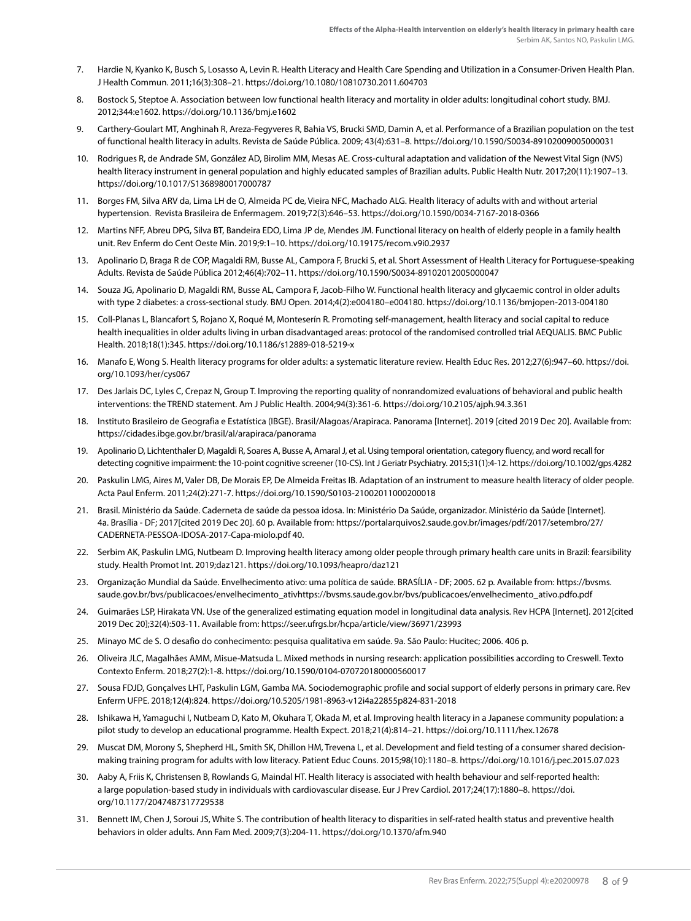- 7. Hardie N, Kyanko K, Busch S, Losasso A, Levin R. Health Literacy and Health Care Spending and Utilization in a Consumer-Driven Health Plan. J Health Commun. 2011;16(3):308–21. https://doi.org/10.1080/10810730.2011.604703
- 8. Bostock S, Steptoe A. Association between low functional health literacy and mortality in older adults: longitudinal cohort study. BMJ. 2012;344:e1602. https://doi.org/10.1136/bmj.e1602
- 9. Carthery-Goulart MT, Anghinah R, Areza-Fegyveres R, Bahia VS, Brucki SMD, Damin A, et al. Performance of a Brazilian population on the test of functional health literacy in adults. Revista de Saúde Pública. 2009; 43(4):631–8. https://doi.org/10.1590/S0034-89102009005000031
- 10. Rodrigues R, de Andrade SM, González AD, Birolim MM, Mesas AE. Cross-cultural adaptation and validation of the Newest Vital Sign (NVS) health literacy instrument in general population and highly educated samples of Brazilian adults. Public Health Nutr. 2017;20(11):1907–13. https://doi.org/10.1017/S1368980017000787
- 11. Borges FM, Silva ARV da, Lima LH de O, Almeida PC de, Vieira NFC, Machado ALG. Health literacy of adults with and without arterial hypertension. Revista Brasileira de Enfermagem. 2019;72(3):646–53. https://doi.org/10.1590/0034-7167-2018-0366
- 12. Martins NFF, Abreu DPG, Silva BT, Bandeira EDO, Lima JP de, Mendes JM. Functional literacy on health of elderly people in a family health unit. Rev Enferm do Cent Oeste Min. 2019;9:1–10. https://doi.org/10.19175/recom.v9i0.2937
- 13. Apolinario D, Braga R de COP, Magaldi RM, Busse AL, Campora F, Brucki S, et al. Short Assessment of Health Literacy for Portuguese-speaking Adults. Revista de Saúde Pública 2012;46(4):702–11. https://doi.org/10.1590/S0034-89102012005000047
- 14. Souza JG, Apolinario D, Magaldi RM, Busse AL, Campora F, Jacob-Filho W. Functional health literacy and glycaemic control in older adults with type 2 diabetes: a cross-sectional study. BMJ Open. 2014;4(2):e004180–e004180. https://doi.org/10.1136/bmjopen-2013-004180
- 15. Coll-Planas L, Blancafort S, Rojano X, Roqué M, Monteserín R. Promoting self-management, health literacy and social capital to reduce health inequalities in older adults living in urban disadvantaged areas: protocol of the randomised controlled trial AEQUALIS. BMC Public Health. 2018;18(1):345. https://doi.org/10.1186/s12889-018-5219-x
- 16. Manafo E, Wong S. Health literacy programs for older adults: a systematic literature review. Health Educ Res. 2012;27(6):947–60. https://doi. org/10.1093/her/cys067
- 17. Des Jarlais DC, Lyles C, Crepaz N, Group T. Improving the reporting quality of nonrandomized evaluations of behavioral and public health interventions: the TREND statement. Am J Public Health. 2004;94(3):361-6. https://doi.org/10.2105/ajph.94.3.361
- 18. Instituto Brasileiro de Geografia e Estatística (IBGE). Brasil/Alagoas/Arapiraca. Panorama [Internet]. 2019 [cited 2019 Dec 20]. Available from: https://cidades.ibge.gov.br/brasil/al/arapiraca/panorama
- 19. Apolinario D, Lichtenthaler D, Magaldi R, Soares A, Busse A, Amaral J, et al. Using temporal orientation, category fluency, and word recall for detecting cognitive impairment: the 10-point cognitive screener (10-CS). Int J Geriatr Psychiatry. 2015;31(1):4-12. https://doi.org/10.1002/gps.4282
- 20. Paskulin LMG, Aires M, Valer DB, De Morais EP, De Almeida Freitas IB. Adaptation of an instrument to measure health literacy of older people. Acta Paul Enferm. 2011;24(2):271-7. https://doi.org/10.1590/S0103-21002011000200018
- 21. Brasil. Ministério da Saúde. Caderneta de saúde da pessoa idosa. In: Ministério Da Saúde, organizador. Ministério da Saúde [Internet]. 4a. Brasília - DF; 2017[cited 2019 Dec 20]. 60 p. Available from: https://portalarquivos2.saude.gov.br/images/pdf/2017/setembro/27/ CADERNETA-PESSOA-IDOSA-2017-Capa-miolo.pdf 40.
- 22. Serbim AK, Paskulin LMG, Nutbeam D. Improving health literacy among older people through primary health care units in Brazil: fearsibility study. Health Promot Int. 2019;daz121. https://doi.org/10.1093/heapro/daz121
- 23. Organização Mundial da Saúde. Envelhecimento ativo: uma política de saúde. BRASÍLIA DF; 2005. 62 p. Available from: https://bvsms. saude.gov.br/bvs/publicacoes/envelhecimento\_ativhttps://bvsms.saude.gov.br/bvs/publicacoes/envelhecimento\_ativo.pdfo.pdf
- 24. Guimarães LSP, Hirakata VN. Use of the generalized estimating equation model in longitudinal data analysis. Rev HCPA [Internet]. 2012[cited 2019 Dec 20];32(4):503-11. Available from: https://seer.ufrgs.br/hcpa/article/view/36971/23993
- 25. Minayo MC de S. O desafio do conhecimento: pesquisa qualitativa em saúde. 9a. São Paulo: Hucitec; 2006. 406 p.
- 26. Oliveira JLC, Magalhães AMM, Misue-Matsuda L. Mixed methods in nursing research: application possibilities according to Creswell. Texto Contexto Enferm. 2018;27(2):1-8. https://doi.org/10.1590/0104-070720180000560017
- 27. Sousa FDJD, Gonçalves LHT, Paskulin LGM, Gamba MA. Sociodemographic profile and social support of elderly persons in primary care. Rev Enferm UFPE. 2018;12(4):824. https://doi.org/10.5205/1981-8963-v12i4a22855p824-831-2018
- 28. Ishikawa H, Yamaguchi I, Nutbeam D, Kato M, Okuhara T, Okada M, et al. Improving health literacy in a Japanese community population: a pilot study to develop an educational programme. Health Expect. 2018;21(4):814–21. https://doi.org/10.1111/hex.12678
- 29. Muscat DM, Morony S, Shepherd HL, Smith SK, Dhillon HM, Trevena L, et al. Development and field testing of a consumer shared decisionmaking training program for adults with low literacy. Patient Educ Couns. 2015;98(10):1180–8. https://doi.org/10.1016/j.pec.2015.07.023
- 30. Aaby A, Friis K, Christensen B, Rowlands G, Maindal HT. Health literacy is associated with health behaviour and self-reported health: a large population-based study in individuals with cardiovascular disease. Eur J Prev Cardiol. 2017;24(17):1880–8. https://doi. org/10.1177/2047487317729538
- 31. Bennett IM, Chen J, Soroui JS, White S. The contribution of health literacy to disparities in self-rated health status and preventive health behaviors in older adults. Ann Fam Med. 2009;7(3):204-11. https://doi.org/10.1370/afm.940